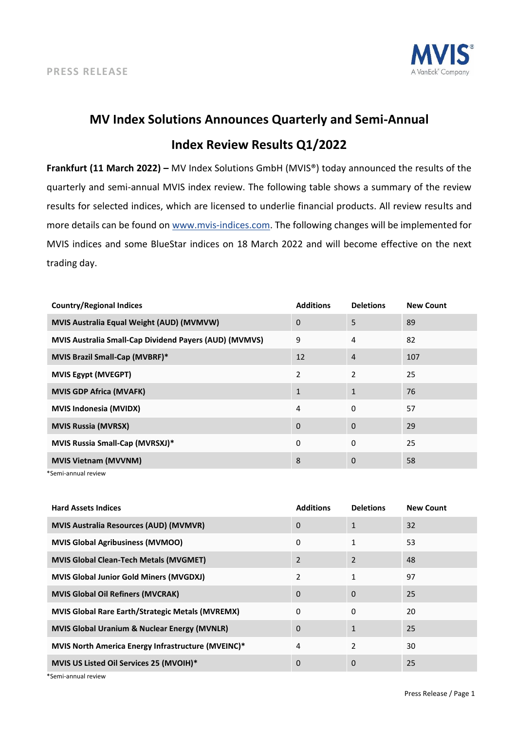

## **MV Index Solutions Announces Quarterly and Semi-Annual Index Review Results Q1/2022**

**Frankfurt (11 March 2022) –** MV Index Solutions GmbH (MVIS®) today announced the results of the quarterly and semi-annual MVIS index review. The following table shows a summary of the review results for selected indices, which are licensed to underlie financial products. All review results and more details can be found on [www.mvis-indices.com.](http://www.mvis-indices.com/) The following changes will be implemented for MVIS indices and some BlueStar indices on 18 March 2022 and will become effective on the next trading day.

| <b>Country/Regional Indices</b>                        | <b>Additions</b> | <b>Deletions</b> | <b>New Count</b> |
|--------------------------------------------------------|------------------|------------------|------------------|
| MVIS Australia Equal Weight (AUD) (MVMVW)              | 0                | 5                | 89               |
| MVIS Australia Small-Cap Dividend Payers (AUD) (MVMVS) | 9                | 4                | 82               |
| MVIS Brazil Small-Cap (MVBRF)*                         | 12               | 4                | 107              |
| <b>MVIS Egypt (MVEGPT)</b>                             | 2                | $\overline{2}$   | 25               |
| <b>MVIS GDP Africa (MVAFK)</b>                         | $\mathbf{1}$     | $\mathbf{1}$     | 76               |
| <b>MVIS Indonesia (MVIDX)</b>                          | $\overline{4}$   | 0                | 57               |
| <b>MVIS Russia (MVRSX)</b>                             | 0                | $\Omega$         | 29               |
| <b>MVIS Russia Small-Cap (MVRSXJ)*</b>                 | $\Omega$         | 0                | 25               |
| <b>MVIS Vietnam (MVVNM)</b>                            | 8                | 0                | 58               |

\*Semi-annual review

| <b>Hard Assets Indices</b>                              | <b>Additions</b> | <b>Deletions</b> | <b>New Count</b> |
|---------------------------------------------------------|------------------|------------------|------------------|
| <b>MVIS Australia Resources (AUD) (MVMVR)</b>           | 0                | 1                | 32               |
| <b>MVIS Global Agribusiness (MVMOO)</b>                 | 0                | 1                | 53               |
| <b>MVIS Global Clean-Tech Metals (MVGMET)</b>           | $\overline{2}$   | 2                | 48               |
| <b>MVIS Global Junior Gold Miners (MVGDXJ)</b>          | $\mathfrak{p}$   | 1                | 97               |
| <b>MVIS Global Oil Refiners (MVCRAK)</b>                | $\Omega$         | 0                | 25               |
| <b>MVIS Global Rare Earth/Strategic Metals (MVREMX)</b> | $\Omega$         | 0                | 20               |
| <b>MVIS Global Uranium &amp; Nuclear Energy (MVNLR)</b> | $\Omega$         | $\mathbf{1}$     | 25               |
| MVIS North America Energy Infrastructure (MVEINC)*      | 4                | 2                | 30               |
| MVIS US Listed Oil Services 25 (MVOIH)*                 | $\Omega$         | 0                | 25               |

\*Semi-annual review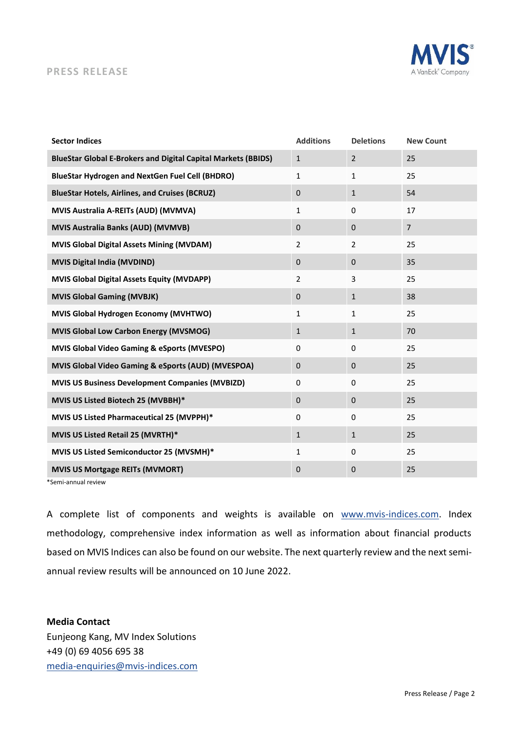## S

## **PRESS RELEASE**

| <b>Sector Indices</b>                                                | <b>Additions</b> | <b>Deletions</b> | <b>New Count</b> |
|----------------------------------------------------------------------|------------------|------------------|------------------|
| <b>BlueStar Global E-Brokers and Digital Capital Markets (BBIDS)</b> | $\mathbf{1}$     | $\overline{2}$   | 25               |
| <b>BlueStar Hydrogen and NextGen Fuel Cell (BHDRO)</b>               | $\mathbf{1}$     | 1                | 25               |
| <b>BlueStar Hotels, Airlines, and Cruises (BCRUZ)</b>                | $\mathbf{0}$     | $\mathbf{1}$     | 54               |
| MVIS Australia A-REITs (AUD) (MVMVA)                                 | $\mathbf{1}$     | 0                | 17               |
| <b>MVIS Australia Banks (AUD) (MVMVB)</b>                            | $\mathbf 0$      | $\mathbf{0}$     | $\overline{7}$   |
| <b>MVIS Global Digital Assets Mining (MVDAM)</b>                     | $\overline{2}$   | $\overline{2}$   | 25               |
| <b>MVIS Digital India (MVDIND)</b>                                   | $\mathbf{0}$     | $\mathbf{0}$     | 35               |
| <b>MVIS Global Digital Assets Equity (MVDAPP)</b>                    | $\overline{2}$   | 3                | 25               |
| <b>MVIS Global Gaming (MVBJK)</b>                                    | $\mathbf 0$      | $\mathbf{1}$     | 38               |
| MVIS Global Hydrogen Economy (MVHTWO)                                | $\mathbf{1}$     | $\mathbf{1}$     | 25               |
| <b>MVIS Global Low Carbon Energy (MVSMOG)</b>                        | $\mathbf{1}$     | $\mathbf{1}$     | 70               |
| <b>MVIS Global Video Gaming &amp; eSports (MVESPO)</b>               | $\Omega$         | 0                | 25               |
| MVIS Global Video Gaming & eSports (AUD) (MVESPOA)                   | $\mathbf 0$      | $\pmb{0}$        | 25               |
| <b>MVIS US Business Development Companies (MVBIZD)</b>               | $\Omega$         | 0                | 25               |
| MVIS US Listed Biotech 25 (MVBBH)*                                   | $\mathbf{0}$     | $\mathbf{0}$     | 25               |
| MVIS US Listed Pharmaceutical 25 (MVPPH)*                            | $\Omega$         | 0                | 25               |
| MVIS US Listed Retail 25 (MVRTH)*                                    | $\mathbf{1}$     | $\mathbf{1}$     | 25               |
| MVIS US Listed Semiconductor 25 (MVSMH)*                             | $\mathbf{1}$     | 0                | 25               |
| <b>MVIS US Mortgage REITs (MVMORT)</b>                               | 0                | $\mathbf 0$      | 25               |

\*Semi-annual review

A complete list of components and weights is available on [www.mvis-indices.com.](http://www.mvis-indices.com/reviews) Index methodology, comprehensive index information as well as information about financial products based on MVIS Indices can also be found on our website. The next quarterly review and the next semiannual review results will be announced on 10 June 2022.

**Media Contact** Eunjeong Kang, MV Index Solutions +49 (0) 69 4056 695 38 [media-enquiries@mvis-indices.com](mailto:media-enquiries@mvis-indices.com)